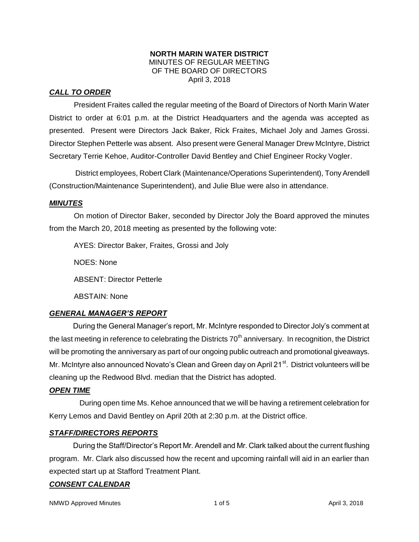### **NORTH MARIN WATER DISTRICT** MINUTES OF REGULAR MEETING OF THE BOARD OF DIRECTORS April 3, 2018

# *CALL TO ORDER*

President Fraites called the regular meeting of the Board of Directors of North Marin Water District to order at 6:01 p.m. at the District Headquarters and the agenda was accepted as presented. Present were Directors Jack Baker, Rick Fraites, Michael Joly and James Grossi. Director Stephen Petterle was absent. Also present were General Manager Drew McIntyre, District Secretary Terrie Kehoe, Auditor-Controller David Bentley and Chief Engineer Rocky Vogler.

District employees, Robert Clark (Maintenance/Operations Superintendent), Tony Arendell (Construction/Maintenance Superintendent), and Julie Blue were also in attendance.

# *MINUTES*

On motion of Director Baker, seconded by Director Joly the Board approved the minutes from the March 20, 2018 meeting as presented by the following vote:

AYES: Director Baker, Fraites, Grossi and Joly NOES: None ABSENT: Director Petterle ABSTAIN: None

# *GENERAL MANAGER'S REPORT*

During the General Manager's report, Mr. McIntyre responded to Director Joly's comment at the last meeting in reference to celebrating the Districts  $70<sup>th</sup>$  anniversary. In recognition, the District will be promoting the anniversary as part of our ongoing public outreach and promotional giveaways. Mr. McIntyre also announced Novato's Clean and Green day on April 21<sup>st</sup>. District volunteers will be cleaning up the Redwood Blvd. median that the District has adopted.

# *OPEN TIME*

 During open time Ms. Kehoe announced that we will be having a retirement celebration for Kerry Lemos and David Bentley on April 20th at 2:30 p.m. at the District office.

# *STAFF/DIRECTORS REPORTS*

During the Staff/Director's Report Mr. Arendell and Mr. Clark talked about the current flushing program. Mr. Clark also discussed how the recent and upcoming rainfall will aid in an earlier than expected start up at Stafford Treatment Plant.

# *CONSENT CALENDAR*

NMWD Approved Minutes and the state of the 1 of 5 April 3, 2018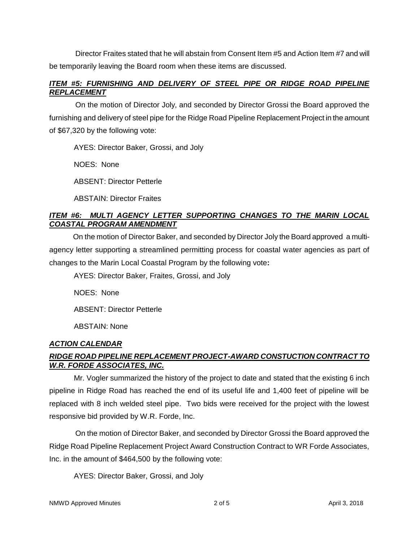Director Fraites stated that he will abstain from Consent Item #5 and Action Item #7 and will be temporarily leaving the Board room when these items are discussed.

# *ITEM #5: FURNISHING AND DELIVERY OF STEEL PIPE OR RIDGE ROAD PIPELINE REPLACEMENT*

On the motion of Director Joly, and seconded by Director Grossi the Board approved the furnishing and delivery of steel pipe for the Ridge Road Pipeline Replacement Project in the amount of \$67,320 by the following vote:

AYES: Director Baker, Grossi, and Joly

NOES: None

ABSENT: Director Petterle

ABSTAIN: Director Fraites

# *ITEM #6: MULTI AGENCY LETTER SUPPORTING CHANGES TO THE MARIN LOCAL COASTAL PROGRAM AMENDMENT*

On the motion of Director Baker, and seconded by Director Joly the Board approved a multiagency letter supporting a streamlined permitting process for coastal water agencies as part of changes to the Marin Local Coastal Program by the following vote**:**

AYES: Director Baker, Fraites, Grossi, and Joly

NOES: None

ABSENT: Director Petterle

ABSTAIN: None

# *ACTION CALENDAR*

# *RIDGE ROAD PIPELINE REPLACEMENT PROJECT-AWARD CONSTUCTION CONTRACT TO W.R. FORDE ASSOCIATES, INC.*

Mr. Vogler summarized the history of the project to date and stated that the existing 6 inch pipeline in Ridge Road has reached the end of its useful life and 1,400 feet of pipeline will be replaced with 8 inch welded steel pipe. Two bids were received for the project with the lowest responsive bid provided by W.R. Forde, Inc.

On the motion of Director Baker, and seconded by Director Grossi the Board approved the Ridge Road Pipeline Replacement Project Award Construction Contract to WR Forde Associates, Inc. in the amount of \$464,500 by the following vote:

AYES: Director Baker, Grossi, and Joly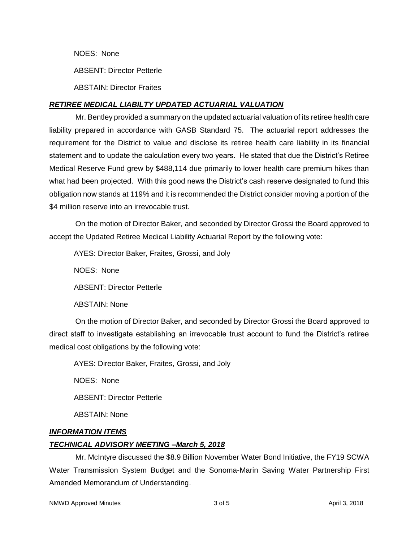NOES: None

ABSENT: Director Petterle

ABSTAIN: Director Fraites

# *RETIREE MEDICAL LIABILTY UPDATED ACTUARIAL VALUATION*

Mr. Bentley provided a summary on the updated actuarial valuation of its retiree health care liability prepared in accordance with GASB Standard 75. The actuarial report addresses the requirement for the District to value and disclose its retiree health care liability in its financial statement and to update the calculation every two years. He stated that due the District's Retiree Medical Reserve Fund grew by \$488,114 due primarily to lower health care premium hikes than what had been projected. With this good news the District's cash reserve designated to fund this obligation now stands at 119% and it is recommended the District consider moving a portion of the \$4 million reserve into an irrevocable trust.

On the motion of Director Baker, and seconded by Director Grossi the Board approved to accept the Updated Retiree Medical Liability Actuarial Report by the following vote:

AYES: Director Baker, Fraites, Grossi, and Joly

NOES: None

ABSENT: Director Petterle

ABSTAIN: None

On the motion of Director Baker, and seconded by Director Grossi the Board approved to direct staff to investigate establishing an irrevocable trust account to fund the District's retiree medical cost obligations by the following vote:

AYES: Director Baker, Fraites, Grossi, and Joly

NOES: None

ABSENT: Director Petterle

ABSTAIN: None

# *INFORMATION ITEMS*

# *TECHNICAL ADVISORY MEETING –March 5, 2018*

Mr. McIntyre discussed the \$8.9 Billion November Water Bond Initiative, the FY19 SCWA Water Transmission System Budget and the Sonoma-Marin Saving Water Partnership First Amended Memorandum of Understanding.

NMWD Approved Minutes and the state of 3 of 5 April 3, 2018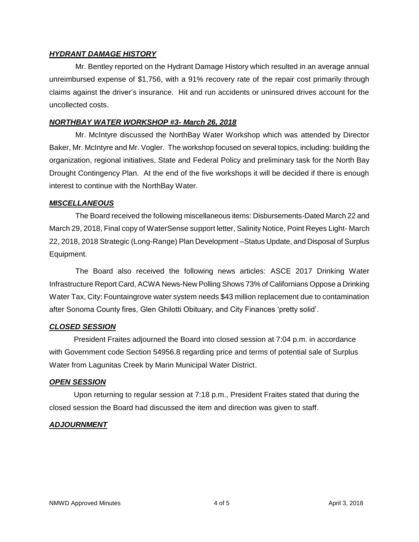# *HYDRANT DAMAGE HISTORY*

Mr. Bentley reported on the Hydrant Damage History which resulted in an average annual unreimbursed expense of \$1,756, with a 91% recovery rate of the repair cost primarily through claims against the driver's insurance. Hit and run accidents or uninsured drives account for the uncollected costs.

### *NORTHBAY WATER WORKSHOP #3- March 26, 2018*

Mr. McIntyre discussed the NorthBay Water Workshop which was attended by Director Baker, Mr. McIntyre and Mr. Vogler. The workshop focused on several topics, including: building the organization, regional initiatives, State and Federal Policy and preliminary task for the North Bay Drought Contingency Plan. At the end of the five workshops it will be decided if there is enough interest to continue with the NorthBay Water.

### *MISCELLANEOUS*

The Board received the following miscellaneous items: Disbursements-Dated March 22 and March 29, 2018, Final copy of WaterSense support letter, Salinity Notice, Point Reyes Light- March 22, 2018, 2018 Strategic (Long-Range) Plan Development –Status Update, and Disposal of Surplus Equipment.

The Board also received the following news articles: ASCE 2017 Drinking Water Infrastructure Report Card, ACWA News-New Polling Shows 73% of Californians Oppose a Drinking Water Tax, City: Fountaingrove water system needs \$43 million replacement due to contamination after Sonoma County fires, Glen Ghilotti Obituary, and City Finances 'pretty solid'.

### *CLOSED SESSION*

President Fraites adjourned the Board into closed session at 7:04 p.m. in accordance with Government code Section 54956.8 regarding price and terms of potential sale of Surplus Water from Lagunitas Creek by Marin Municipal Water District.

### *OPEN SESSION*

Upon returning to regular session at 7:18 p.m., President Fraites stated that during the closed session the Board had discussed the item and direction was given to staff.

# *ADJOURNMENT*